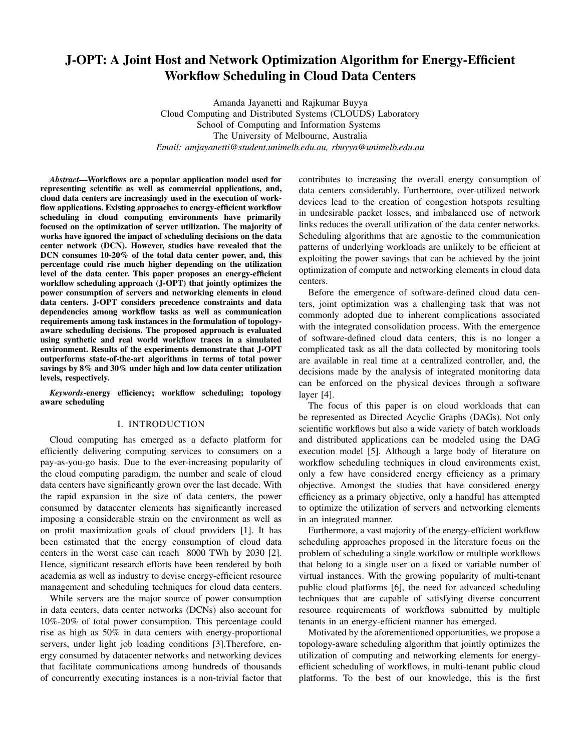# J-OPT: A Joint Host and Network Optimization Algorithm for Energy-Efficient Workflow Scheduling in Cloud Data Centers

Amanda Jayanetti and Rajkumar Buyya Cloud Computing and Distributed Systems (CLOUDS) Laboratory School of Computing and Information Systems The University of Melbourne, Australia *Email: amjayanetti@student.unimelb.edu.au, rbuyya@unimelb.edu.au*

*Abstract*—Workflows are a popular application model used for representing scientific as well as commercial applications, and, cloud data centers are increasingly used in the execution of workflow applications. Existing approaches to energy-efficient workflow scheduling in cloud computing environments have primarily focused on the optimization of server utilization. The majority of works have ignored the impact of scheduling decisions on the data center network (DCN). However, studies have revealed that the DCN consumes 10-20% of the total data center power, and, this percentage could rise much higher depending on the utilization level of the data center. This paper proposes an energy-efficient workflow scheduling approach (J-OPT) that jointly optimizes the power consumption of servers and networking elements in cloud data centers. J-OPT considers precedence constraints and data dependencies among workflow tasks as well as communication requirements among task instances in the formulation of topologyaware scheduling decisions. The proposed approach is evaluated using synthetic and real world workflow traces in a simulated environment. Results of the experiments demonstrate that J-OPT outperforms state-of-the-art algorithms in terms of total power savings by 8% and 30% under high and low data center utilization levels, respectively.

*Keywords*-energy efficiency; workflow scheduling; topology aware scheduling

## I. INTRODUCTION

Cloud computing has emerged as a defacto platform for efficiently delivering computing services to consumers on a pay-as-you-go basis. Due to the ever-increasing popularity of the cloud computing paradigm, the number and scale of cloud data centers have significantly grown over the last decade. With the rapid expansion in the size of data centers, the power consumed by datacenter elements has significantly increased imposing a considerable strain on the environment as well as on profit maximization goals of cloud providers [1]. It has been estimated that the energy consumption of cloud data centers in the worst case can reach 8000 TWh by 2030 [2]. Hence, significant research efforts have been rendered by both academia as well as industry to devise energy-efficient resource management and scheduling techniques for cloud data centers.

While servers are the major source of power consumption in data centers, data center networks (DCNs) also account for 10%-20% of total power consumption. This percentage could rise as high as 50% in data centers with energy-proportional servers, under light job loading conditions [3].Therefore, energy consumed by datacenter networks and networking devices that facilitate communications among hundreds of thousands of concurrently executing instances is a non-trivial factor that contributes to increasing the overall energy consumption of data centers considerably. Furthermore, over-utilized network devices lead to the creation of congestion hotspots resulting in undesirable packet losses, and imbalanced use of network links reduces the overall utilization of the data center networks. Scheduling algorithms that are agnostic to the communication patterns of underlying workloads are unlikely to be efficient at exploiting the power savings that can be achieved by the joint optimization of compute and networking elements in cloud data centers.

Before the emergence of software-defined cloud data centers, joint optimization was a challenging task that was not commonly adopted due to inherent complications associated with the integrated consolidation process. With the emergence of software-defined cloud data centers, this is no longer a complicated task as all the data collected by monitoring tools are available in real time at a centralized controller, and, the decisions made by the analysis of integrated monitoring data can be enforced on the physical devices through a software layer [4].

The focus of this paper is on cloud workloads that can be represented as Directed Acyclic Graphs (DAGs). Not only scientific workflows but also a wide variety of batch workloads and distributed applications can be modeled using the DAG execution model [5]. Although a large body of literature on workflow scheduling techniques in cloud environments exist, only a few have considered energy efficiency as a primary objective. Amongst the studies that have considered energy efficiency as a primary objective, only a handful has attempted to optimize the utilization of servers and networking elements in an integrated manner.

Furthermore, a vast majority of the energy-efficient workflow scheduling approaches proposed in the literature focus on the problem of scheduling a single workflow or multiple workflows that belong to a single user on a fixed or variable number of virtual instances. With the growing popularity of multi-tenant public cloud platforms [6], the need for advanced scheduling techniques that are capable of satisfying diverse concurrent resource requirements of workflows submitted by multiple tenants in an energy-efficient manner has emerged.

Motivated by the aforementioned opportunities, we propose a topology-aware scheduling algorithm that jointly optimizes the utilization of computing and networking elements for energyefficient scheduling of workflows, in multi-tenant public cloud platforms. To the best of our knowledge, this is the first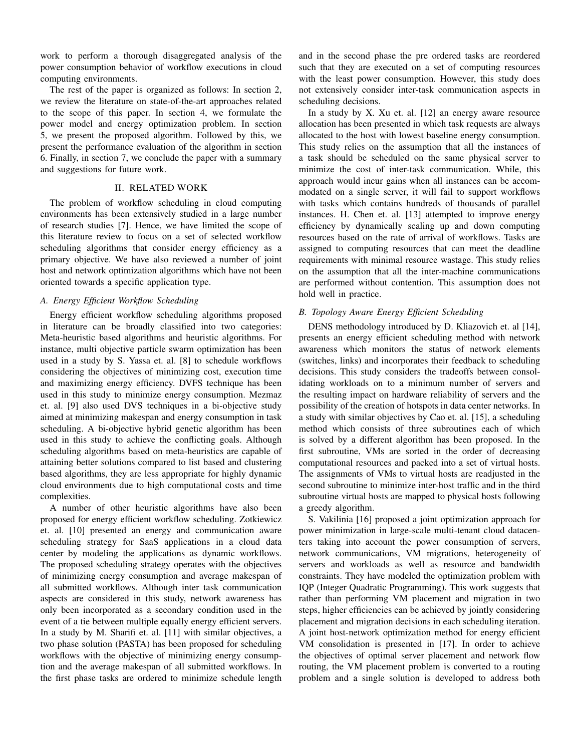work to perform a thorough disaggregated analysis of the power consumption behavior of workflow executions in cloud computing environments.

The rest of the paper is organized as follows: In section 2, we review the literature on state-of-the-art approaches related to the scope of this paper. In section 4, we formulate the power model and energy optimization problem. In section 5, we present the proposed algorithm. Followed by this, we present the performance evaluation of the algorithm in section 6. Finally, in section 7, we conclude the paper with a summary and suggestions for future work.

# II. RELATED WORK

The problem of workflow scheduling in cloud computing environments has been extensively studied in a large number of research studies [7]. Hence, we have limited the scope of this literature review to focus on a set of selected workflow scheduling algorithms that consider energy efficiency as a primary objective. We have also reviewed a number of joint host and network optimization algorithms which have not been oriented towards a specific application type.

# *A. Energy Efficient Workflow Scheduling*

Energy efficient workflow scheduling algorithms proposed in literature can be broadly classified into two categories: Meta-heuristic based algorithms and heuristic algorithms. For instance, multi objective particle swarm optimization has been used in a study by S. Yassa et. al. [8] to schedule workflows considering the objectives of minimizing cost, execution time and maximizing energy efficiency. DVFS technique has been used in this study to minimize energy consumption. Mezmaz et. al. [9] also used DVS techniques in a bi-objective study aimed at minimizing makespan and energy consumption in task scheduling. A bi-objective hybrid genetic algorithm has been used in this study to achieve the conflicting goals. Although scheduling algorithms based on meta-heuristics are capable of attaining better solutions compared to list based and clustering based algorithms, they are less appropriate for highly dynamic cloud environments due to high computational costs and time complexities.

A number of other heuristic algorithms have also been proposed for energy efficient workflow scheduling. Zotkiewicz et. al. [10] presented an energy and communication aware scheduling strategy for SaaS applications in a cloud data center by modeling the applications as dynamic workflows. The proposed scheduling strategy operates with the objectives of minimizing energy consumption and average makespan of all submitted workflows. Although inter task communication aspects are considered in this study, network awareness has only been incorporated as a secondary condition used in the event of a tie between multiple equally energy efficient servers. In a study by M. Sharifi et. al. [11] with similar objectives, a two phase solution (PASTA) has been proposed for scheduling workflows with the objective of minimizing energy consumption and the average makespan of all submitted workflows. In the first phase tasks are ordered to minimize schedule length and in the second phase the pre ordered tasks are reordered such that they are executed on a set of computing resources with the least power consumption. However, this study does not extensively consider inter-task communication aspects in scheduling decisions.

In a study by X. Xu et. al. [12] an energy aware resource allocation has been presented in which task requests are always allocated to the host with lowest baseline energy consumption. This study relies on the assumption that all the instances of a task should be scheduled on the same physical server to minimize the cost of inter-task communication. While, this approach would incur gains when all instances can be accommodated on a single server, it will fail to support workflows with tasks which contains hundreds of thousands of parallel instances. H. Chen et. al. [13] attempted to improve energy efficiency by dynamically scaling up and down computing resources based on the rate of arrival of workflows. Tasks are assigned to computing resources that can meet the deadline requirements with minimal resource wastage. This study relies on the assumption that all the inter-machine communications are performed without contention. This assumption does not hold well in practice.

# *B. Topology Aware Energy Efficient Scheduling*

DENS methodology introduced by D. Kliazovich et. al [14], presents an energy efficient scheduling method with network awareness which monitors the status of network elements (switches, links) and incorporates their feedback to scheduling decisions. This study considers the tradeoffs between consolidating workloads on to a minimum number of servers and the resulting impact on hardware reliability of servers and the possibility of the creation of hotspots in data center networks. In a study with similar objectives by Cao et. al. [15], a scheduling method which consists of three subroutines each of which is solved by a different algorithm has been proposed. In the first subroutine, VMs are sorted in the order of decreasing computational resources and packed into a set of virtual hosts. The assignments of VMs to virtual hosts are readjusted in the second subroutine to minimize inter-host traffic and in the third subroutine virtual hosts are mapped to physical hosts following a greedy algorithm.

S. Vakilinia [16] proposed a joint optimization approach for power minimization in large-scale multi-tenant cloud datacenters taking into account the power consumption of servers, network communications, VM migrations, heterogeneity of servers and workloads as well as resource and bandwidth constraints. They have modeled the optimization problem with IQP (Integer Quadratic Programming). This work suggests that rather than performing VM placement and migration in two steps, higher efficiencies can be achieved by jointly considering placement and migration decisions in each scheduling iteration. A joint host-network optimization method for energy efficient VM consolidation is presented in [17]. In order to achieve the objectives of optimal server placement and network flow routing, the VM placement problem is converted to a routing problem and a single solution is developed to address both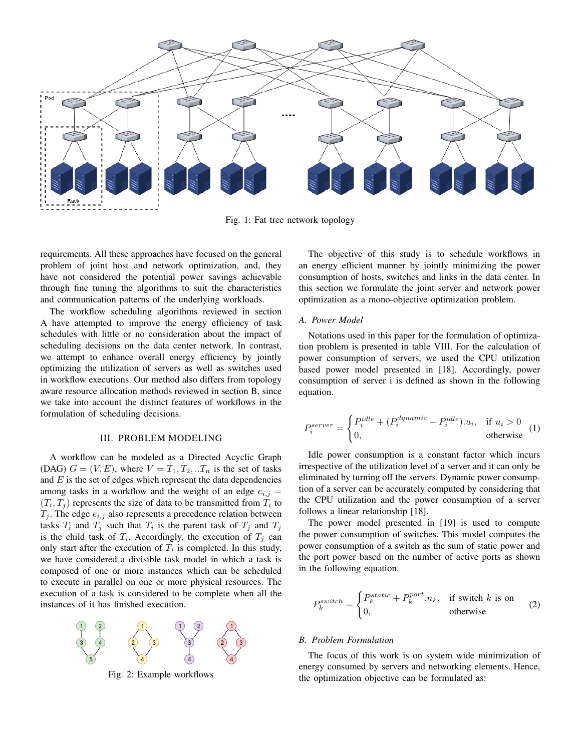

Fig. 1: Fat tree network topology

requirements. All these approaches have focused on the general problem of joint host and network optimization, and, they have not considered the potential power savings achievable through fine tuning the algorithms to suit the characteristics and communication patterns of the underlying workloads.

The workflow scheduling algorithms reviewed in section A have attempted to improve the energy efficiency of task schedules with little or no consideration about the impact of scheduling decisions on the data center network. In contrast, we attempt to enhance overall energy efficiency by jointly optimizing the utilization of servers as well as switches used in workflow executions. Our method also differs from topology aware resource allocation methods reviewed in section B, since we take into account the distinct features of workflows in the formulation of scheduling decisions.

# III. PROBLEM MODELING

A workflow can be modeled as a Directed Acyclic Graph (DAG)  $G = (V, E)$ , where  $V = T_1, T_2, ... T_n$  is the set of tasks and  $E$  is the set of edges which represent the data dependencies among tasks in a workflow and the weight of an edge  $e_{i,j}$  =  $(T_i, T_j)$  represents the size of data to be transmitted from  $T_i$  to  $T_j$ . The edge  $e_{i,j}$  also represents a precedence relation between tasks  $T_i$  and  $T_j$  such that  $T_i$  is the parent task of  $T_j$  and  $T_j$ is the child task of  $T_i$ . Accordingly, the execution of  $T_j$  can only start after the execution of  $T_i$  is completed. In this study, we have considered a divisible task model in which a task is composed of one or more instances which can be scheduled to execute in parallel on one or more physical resources. The execution of a task is considered to be complete when all the instances of it has finished execution.



Fig. 2: Example workflows

The objective of this study is to schedule workflows in an energy efficient manner by jointly minimizing the power consumption of hosts, switches and links in the data center. In this section we formulate the joint server and network power optimization as a mono-objective optimization problem.

#### *A. Power Model*

Notations used in this paper for the formulation of optimization problem is presented in table VIII. For the calculation of power consumption of servers, we used the CPU utilization based power model presented in [18]. Accordingly, power consumption of server i is defined as shown in the following equation.

$$
P_i^{server} = \begin{cases} P_i^{idle} + (P_i^{dynamic} - P_i^{idle}) \cdot u_i, & \text{if } u_i > 0\\ 0, & \text{otherwise} \end{cases} (1)
$$

Idle power consumption is a constant factor which incurs irrespective of the utilization level of a server and it can only be eliminated by turning off the servers. Dynamic power consumption of a server can be accurately computed by considering that the CPU utilization and the power consumption of a server follows a linear relationship [18].

The power model presented in [19] is used to compute the power consumption of switches. This model computes the power consumption of a switch as the sum of static power and the port power based on the number of active ports as shown in the following equation.

$$
P_k^{switch} = \begin{cases} P_k^{static} + P_k^{port}.n_k, & \text{if switch } k \text{ is on} \\ 0, & \text{otherwise} \end{cases}
$$
 (2)

#### *B. Problem Formulation*

The focus of this work is on system wide minimization of energy consumed by servers and networking elements. Hence, the optimization objective can be formulated as: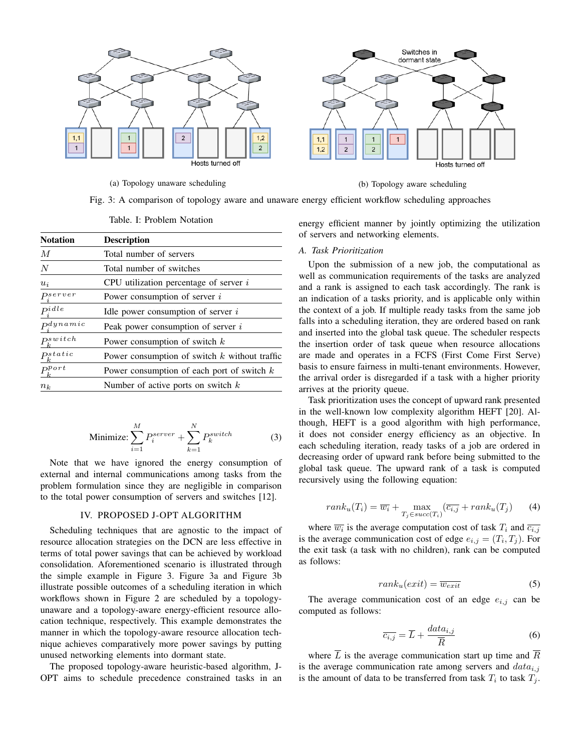

(a) Topology unaware scheduling (b) Topology aware scheduling

Fig. 3: A comparison of topology aware and unaware energy efficient workflow scheduling approaches

| <b>Notation</b>       | <b>Description</b>                              |
|-----------------------|-------------------------------------------------|
| M                     | Total number of servers                         |
| $\overline{N}$        | Total number of switches                        |
| $u_i$                 | CPU utilization percentage of server $i$        |
| $P_i^{server}$        | Power consumption of server $i$                 |
| $P_i^{idle}$          | Idle power consumption of server $i$            |
| p <sub>d</sub> ynamic | Peak power consumption of server i              |
| $psw$ itch            | Power consumption of switch $k$                 |
| $P^{static}_k$        | Power consumption of switch $k$ without traffic |
| $P_k^{Port}$          | Power consumption of each port of switch $k$    |
| $n_k$                 | Number of active ports on switch $k$            |

Table. I: Problem Notation

Minimize: 
$$
\sum_{i=1}^{M} P_i^{server} + \sum_{k=1}^{N} P_k^{switch}
$$
 (3)

Note that we have ignored the energy consumption of external and internal communications among tasks from the problem formulation since they are negligible in comparison to the total power consumption of servers and switches [12].

#### IV. PROPOSED J-OPT ALGORITHM

Scheduling techniques that are agnostic to the impact of resource allocation strategies on the DCN are less effective in terms of total power savings that can be achieved by workload consolidation. Aforementioned scenario is illustrated through the simple example in Figure 3. Figure 3a and Figure 3b illustrate possible outcomes of a scheduling iteration in which workflows shown in Figure 2 are scheduled by a topologyunaware and a topology-aware energy-efficient resource allocation technique, respectively. This example demonstrates the manner in which the topology-aware resource allocation technique achieves comparatively more power savings by putting unused networking elements into dormant state.

The proposed topology-aware heuristic-based algorithm, J-OPT aims to schedule precedence constrained tasks in an energy efficient manner by jointly optimizing the utilization of servers and networking elements.

# *A. Task Prioritization*

Upon the submission of a new job, the computational as well as communication requirements of the tasks are analyzed and a rank is assigned to each task accordingly. The rank is an indication of a tasks priority, and is applicable only within the context of a job. If multiple ready tasks from the same job falls into a scheduling iteration, they are ordered based on rank and inserted into the global task queue. The scheduler respects the insertion order of task queue when resource allocations are made and operates in a FCFS (First Come First Serve) basis to ensure fairness in multi-tenant environments. However, the arrival order is disregarded if a task with a higher priority arrives at the priority queue.

Task prioritization uses the concept of upward rank presented in the well-known low complexity algorithm HEFT [20]. Although, HEFT is a good algorithm with high performance, it does not consider energy efficiency as an objective. In each scheduling iteration, ready tasks of a job are ordered in decreasing order of upward rank before being submitted to the global task queue. The upward rank of a task is computed recursively using the following equation:

$$
rank_u(T_i) = \overline{w_i} + \max_{T_j \in succ(T_i)} (\overline{c_{i,j}} + rank_u(T_j) \qquad (4)
$$

where  $\overline{w_i}$  is the average computation cost of task  $T_i$  and  $\overline{c_{i,j}}$ is the average communication cost of edge  $e_{i,j} = (T_i, T_j)$ . For the exit task (a task with no children), rank can be computed as follows:

$$
rank_u(exit) = \overline{w_{exit}} \tag{5}
$$

The average communication cost of an edge  $e_{i,j}$  can be computed as follows:

$$
\overline{c_{i,j}} = \overline{L} + \frac{data_{i,j}}{\overline{R}}
$$
 (6)

where  $\overline{L}$  is the average communication start up time and  $\overline{R}$ is the average communication rate among servers and  $data_{i,j}$ is the amount of data to be transferred from task  $T_i$  to task  $T_j$ .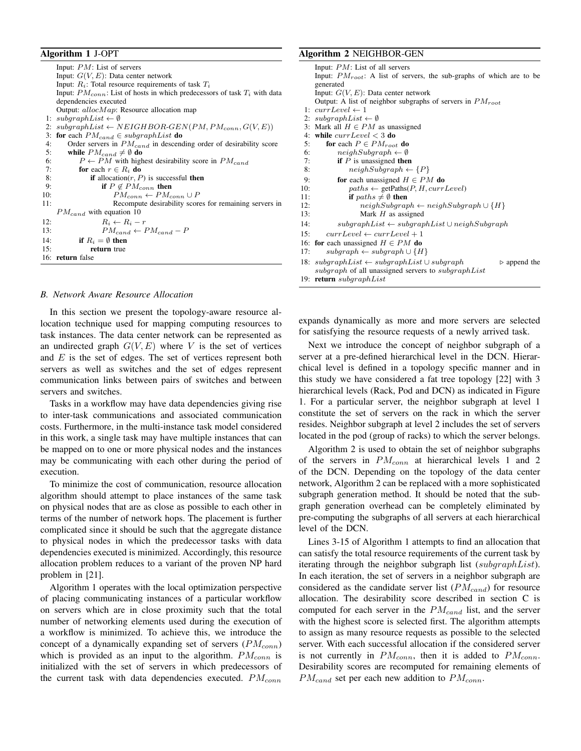## Algorithm 1 J-OPT

|     | Input: $PM$ : List of servers                                                    |
|-----|----------------------------------------------------------------------------------|
|     | Input: $G(V, E)$ : Data center network                                           |
|     | Input: $R_i$ : Total resource requirements of task $T_i$                         |
|     | Input: $PM_{conn}$ : List of hosts in which predecessors of task $T_i$ with data |
|     | dependencies executed                                                            |
|     | Output: $allocMap$ : Resource allocation map                                     |
|     | 1: $subgraphList \leftarrow \emptyset$                                           |
| 2:  | $subgraphList \leftarrow NEIGHBOR-GEN(PM, PM_{conn}, G(V, E))$                   |
| 3:  | <b>for</b> each $PM_{cand} \in subgraphList$ <b>do</b>                           |
| 4:  | Order servers in $PM_{cand}$ in descending order of desirability score           |
| 5:  | while $PM_{cand} \neq \emptyset$ do                                              |
| 6:  | $P \leftarrow PM$ with highest desirability score in $PM_{cand}$                 |
| 7:  | for each $r \in R_i$ do                                                          |
| 8:  | <b>if</b> allocation $(r, P)$ is successful <b>then</b>                          |
| 9:  | if $P \notin PM_{conn}$ then                                                     |
| 10: | $PM_{conn} \leftarrow PM_{conn} \cup P$                                          |
| 11: | Recompute desirability scores for remaining servers in                           |
|     | $PM_{cand}$ with equation 10                                                     |
| 12: | $R_i \leftarrow R_i - r$                                                         |
| 13: | $PM_{cand} \leftarrow PM_{cand} - P$                                             |
| 14: | if $R_i = \emptyset$ then                                                        |
| 15: | return true                                                                      |
|     | 16: return false                                                                 |
|     |                                                                                  |

#### *B. Network Aware Resource Allocation*

In this section we present the topology-aware resource allocation technique used for mapping computing resources to task instances. The data center network can be represented as an undirected graph  $G(V, E)$  where V is the set of vertices and  $E$  is the set of edges. The set of vertices represent both servers as well as switches and the set of edges represent communication links between pairs of switches and between servers and switches.

Tasks in a workflow may have data dependencies giving rise to inter-task communications and associated communication costs. Furthermore, in the multi-instance task model considered in this work, a single task may have multiple instances that can be mapped on to one or more physical nodes and the instances may be communicating with each other during the period of execution.

To minimize the cost of communication, resource allocation algorithm should attempt to place instances of the same task on physical nodes that are as close as possible to each other in terms of the number of network hops. The placement is further complicated since it should be such that the aggregate distance to physical nodes in which the predecessor tasks with data dependencies executed is minimized. Accordingly, this resource allocation problem reduces to a variant of the proven NP hard problem in [21].

Algorithm 1 operates with the local optimization perspective of placing communicating instances of a particular workflow on servers which are in close proximity such that the total number of networking elements used during the execution of a workflow is minimized. To achieve this, we introduce the concept of a dynamically expanding set of servers  $(PM_{conn})$ which is provided as an input to the algorithm.  $PM_{conn}$  is initialized with the set of servers in which predecessors of the current task with data dependencies executed.  $PM_{conn}$ 

#### Algorithm 2 NEIGHBOR-GEN

|     | Input: $PM$ : List of all servers                                                                                  |
|-----|--------------------------------------------------------------------------------------------------------------------|
|     | Input: $PM_{root}$ : A list of servers, the sub-graphs of which are to be                                          |
|     | generated                                                                                                          |
|     | Input: $G(V, E)$ : Data center network                                                                             |
|     | Output: A list of neighbor subgraphs of servers in $PM_{root}$                                                     |
|     | 1: $currentevel \leftarrow 1$                                                                                      |
| 2:  | $subgraphList \leftarrow \emptyset$                                                                                |
| 3:  | Mark all $H \in PM$ as unassigned                                                                                  |
| 4:  | while $currLevel < 3$ do                                                                                           |
| 5:  | for each $P \in PM_{root}$ do                                                                                      |
| 6:  | $neighSubgraph \leftarrow \emptyset$                                                                               |
| 7:  | <b>if</b> $P$ is unassigned <b>then</b>                                                                            |
| 8:  | $neighSubgraph \leftarrow \{P\}$                                                                                   |
| 9:  | for each unassigned $H \in PM$ do                                                                                  |
| 10: | $paths \leftarrow getPaths(P, H, currLevel)$                                                                       |
| 11: | if $paths \neq \emptyset$ then                                                                                     |
| 12: | $neighSubgraph \leftarrow neighSubgraph \cup \{H\}$                                                                |
| 13: | Mark $H$ as assigned                                                                                               |
| 14: | $subgraphList \leftarrow subgraphList \cup neighSubgraph$                                                          |
| 15: | $currLevel \leftarrow currLevel + 1$                                                                               |
|     | 16: for each unassigned $H \in PM$ do                                                                              |
| 17: | $subgraph \leftarrow subgraph \cup \{H\}$                                                                          |
|     | 18: $\textit{subgraphList} \leftarrow \textit{subgraphList} \cup \textit{subgraph}$<br>$\triangleright$ append the |
|     | subgraph of all unassigned servers to subgraph List                                                                |
|     | 19: <b>return</b> subgraphList                                                                                     |

expands dynamically as more and more servers are selected for satisfying the resource requests of a newly arrived task.

Next we introduce the concept of neighbor subgraph of a server at a pre-defined hierarchical level in the DCN. Hierarchical level is defined in a topology specific manner and in this study we have considered a fat tree topology [22] with 3 hierarchical levels (Rack, Pod and DCN) as indicated in Figure 1. For a particular server, the neighbor subgraph at level 1 constitute the set of servers on the rack in which the server resides. Neighbor subgraph at level 2 includes the set of servers located in the pod (group of racks) to which the server belongs.

Algorithm 2 is used to obtain the set of neighbor subgraphs of the servers in  $PM_{conn}$  at hierarchical levels 1 and 2 of the DCN. Depending on the topology of the data center network, Algorithm 2 can be replaced with a more sophisticated subgraph generation method. It should be noted that the subgraph generation overhead can be completely eliminated by pre-computing the subgraphs of all servers at each hierarchical level of the DCN.

Lines 3-15 of Algorithm 1 attempts to find an allocation that can satisfy the total resource requirements of the current task by iterating through the neighbor subgraph list (subgraphList). In each iteration, the set of servers in a neighbor subgraph are considered as the candidate server list  $(PM_{cand})$  for resource allocation. The desirability score described in section C is computed for each server in the  $PM_{cand}$  list, and the server with the highest score is selected first. The algorithm attempts to assign as many resource requests as possible to the selected server. With each successful allocation if the considered server is not currently in  $PM_{conn}$ , then it is added to  $PM_{conn}$ . Desirability scores are recomputed for remaining elements of  $PM_{cand}$  set per each new addition to  $PM_{conn}$ .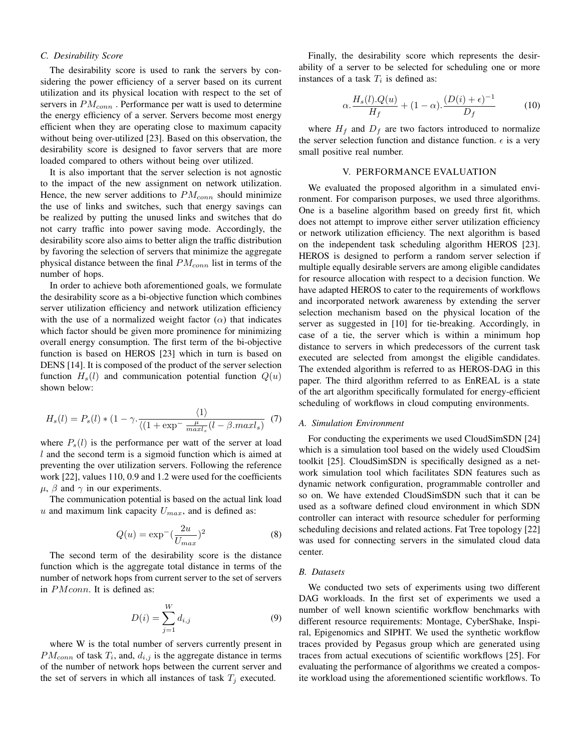# *C. Desirability Score*

The desirability score is used to rank the servers by considering the power efficiency of a server based on its current utilization and its physical location with respect to the set of servers in  $PM_{conn}$ . Performance per watt is used to determine the energy efficiency of a server. Servers become most energy efficient when they are operating close to maximum capacity without being over-utilized [23]. Based on this observation, the desirability score is designed to favor servers that are more loaded compared to others without being over utilized.

It is also important that the server selection is not agnostic to the impact of the new assignment on network utilization. Hence, the new server additions to  $PM_{conn}$  should minimize the use of links and switches, such that energy savings can be realized by putting the unused links and switches that do not carry traffic into power saving mode. Accordingly, the desirability score also aims to better align the traffic distribution by favoring the selection of servers that minimize the aggregate physical distance between the final  $PM_{conn}$  list in terms of the number of hops.

In order to achieve both aforementioned goals, we formulate the desirability score as a bi-objective function which combines server utilization efficiency and network utilization efficiency with the use of a normalized weight factor  $(\alpha)$  that indicates which factor should be given more prominence for minimizing overall energy consumption. The first term of the bi-objective function is based on HEROS [23] which in turn is based on DENS [14]. It is composed of the product of the server selection function  $H_s(l)$  and communication potential function  $Q(u)$ shown below:

$$
H_s(l) = P_s(l) * (1 - \gamma \cdot \frac{\langle 1 \rangle}{\langle (1 + \exp^{-} \frac{\mu}{\max l_s} (l - \beta \cdot \max l_s))} \tag{7}
$$

where  $P_s(l)$  is the performance per watt of the server at load  $l$  and the second term is a sigmoid function which is aimed at preventing the over utilization servers. Following the reference work [22], values 110, 0.9 and 1.2 were used for the coefficients  $\mu$ ,  $\beta$  and  $\gamma$  in our experiments.

The communication potential is based on the actual link load u and maximum link capacity  $U_{max}$ , and is defined as:

$$
Q(u) = \exp^{-}\left(\frac{2u}{U_{max}}\right)^2
$$
\n(8)

The second term of the desirability score is the distance function which is the aggregate total distance in terms of the number of network hops from current server to the set of servers in *PM conn*. It is defined as:

$$
D(i) = \sum_{j=1}^{W} d_{i,j}
$$
 (9)

where W is the total number of servers currently present in  $PM_{conn}$  of task  $T_i$ , and,  $d_{i,j}$  is the aggregate distance in terms of the number of network hops between the current server and the set of servers in which all instances of task  $T_j$  executed.

Finally, the desirability score which represents the desirability of a server to be selected for scheduling one or more instances of a task  $T_i$  is defined as:

$$
\alpha \cdot \frac{H_s(l) \cdot Q(u)}{H_f} + (1 - \alpha) \cdot \frac{(D(i) + \epsilon)^{-1}}{D_f} \tag{10}
$$

where  $H_f$  and  $D_f$  are two factors introduced to normalize the server selection function and distance function.  $\epsilon$  is a very small positive real number.

# V. PERFORMANCE EVALUATION

We evaluated the proposed algorithm in a simulated environment. For comparison purposes, we used three algorithms. One is a baseline algorithm based on greedy first fit, which does not attempt to improve either server utilization efficiency or network utilization efficiency. The next algorithm is based on the independent task scheduling algorithm HEROS [23]. HEROS is designed to perform a random server selection if multiple equally desirable servers are among eligible candidates for resource allocation with respect to a decision function. We have adapted HEROS to cater to the requirements of workflows and incorporated network awareness by extending the server selection mechanism based on the physical location of the server as suggested in [10] for tie-breaking. Accordingly, in case of a tie, the server which is within a minimum hop distance to servers in which predecessors of the current task executed are selected from amongst the eligible candidates. The extended algorithm is referred to as HEROS-DAG in this paper. The third algorithm referred to as EnREAL is a state of the art algorithm specifically formulated for energy-efficient scheduling of workflows in cloud computing environments.

## *A. Simulation Environment*

For conducting the experiments we used CloudSimSDN [24] which is a simulation tool based on the widely used CloudSim toolkit [25]. CloudSimSDN is specifically designed as a network simulation tool which facilitates SDN features such as dynamic network configuration, programmable controller and so on. We have extended CloudSimSDN such that it can be used as a software defined cloud environment in which SDN controller can interact with resource scheduler for performing scheduling decisions and related actions. Fat Tree topology [22] was used for connecting servers in the simulated cloud data center.

#### *B. Datasets*

We conducted two sets of experiments using two different DAG workloads. In the first set of experiments we used a number of well known scientific workflow benchmarks with different resource requirements: Montage, CyberShake, Inspiral, Epigenomics and SIPHT. We used the synthetic workflow traces provided by Pegasus group which are generated using traces from actual executions of scientific workflows [25]. For evaluating the performance of algorithms we created a composite workload using the aforementioned scientific workflows. To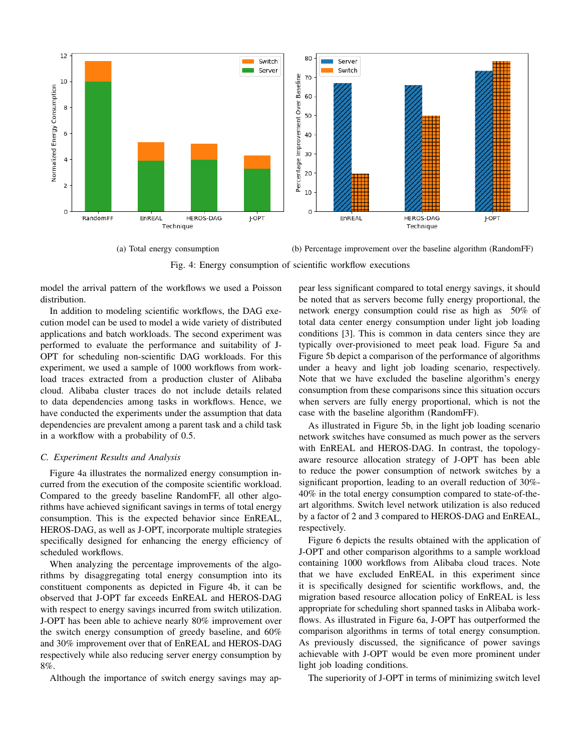

(a) Total energy consumption (b) Percentage improvement over the baseline algorithm (RandomFF)

Fig. 4: Energy consumption of scientific workflow executions

model the arrival pattern of the workflows we used a Poisson distribution.

In addition to modeling scientific workflows, the DAG execution model can be used to model a wide variety of distributed applications and batch workloads. The second experiment was performed to evaluate the performance and suitability of J-OPT for scheduling non-scientific DAG workloads. For this experiment, we used a sample of 1000 workflows from workload traces extracted from a production cluster of Alibaba cloud. Alibaba cluster traces do not include details related to data dependencies among tasks in workflows. Hence, we have conducted the experiments under the assumption that data dependencies are prevalent among a parent task and a child task in a workflow with a probability of 0.5.

## *C. Experiment Results and Analysis*

Figure 4a illustrates the normalized energy consumption incurred from the execution of the composite scientific workload. Compared to the greedy baseline RandomFF, all other algorithms have achieved significant savings in terms of total energy consumption. This is the expected behavior since EnREAL, HEROS-DAG, as well as J-OPT, incorporate multiple strategies specifically designed for enhancing the energy efficiency of scheduled workflows.

When analyzing the percentage improvements of the algorithms by disaggregating total energy consumption into its constituent components as depicted in Figure 4b, it can be observed that J-OPT far exceeds EnREAL and HEROS-DAG with respect to energy savings incurred from switch utilization. J-OPT has been able to achieve nearly 80% improvement over the switch energy consumption of greedy baseline, and 60% and 30% improvement over that of EnREAL and HEROS-DAG respectively while also reducing server energy consumption by 8%.

Although the importance of switch energy savings may ap-

pear less significant compared to total energy savings, it should be noted that as servers become fully energy proportional, the network energy consumption could rise as high as 50% of total data center energy consumption under light job loading conditions [3]. This is common in data centers since they are typically over-provisioned to meet peak load. Figure 5a and Figure 5b depict a comparison of the performance of algorithms under a heavy and light job loading scenario, respectively. Note that we have excluded the baseline algorithm's energy consumption from these comparisons since this situation occurs when servers are fully energy proportional, which is not the case with the baseline algorithm (RandomFF).

As illustrated in Figure 5b, in the light job loading scenario network switches have consumed as much power as the servers with EnREAL and HEROS-DAG. In contrast, the topologyaware resource allocation strategy of J-OPT has been able to reduce the power consumption of network switches by a significant proportion, leading to an overall reduction of 30%- 40% in the total energy consumption compared to state-of-theart algorithms. Switch level network utilization is also reduced by a factor of 2 and 3 compared to HEROS-DAG and EnREAL, respectively.

Figure 6 depicts the results obtained with the application of J-OPT and other comparison algorithms to a sample workload containing 1000 workflows from Alibaba cloud traces. Note that we have excluded EnREAL in this experiment since it is specifically designed for scientific workflows, and, the migration based resource allocation policy of EnREAL is less appropriate for scheduling short spanned tasks in Alibaba workflows. As illustrated in Figure 6a, J-OPT has outperformed the comparison algorithms in terms of total energy consumption. As previously discussed, the significance of power savings achievable with J-OPT would be even more prominent under light job loading conditions.

The superiority of J-OPT in terms of minimizing switch level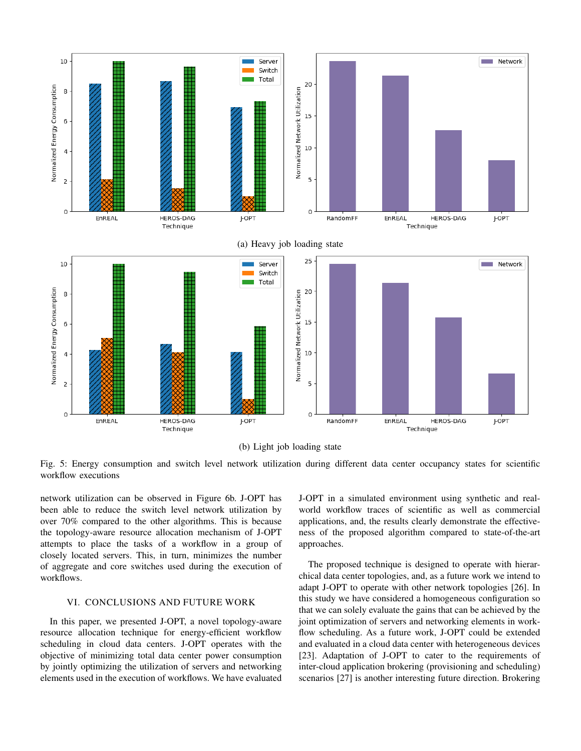

(b) Light job loading state

Fig. 5: Energy consumption and switch level network utilization during different data center occupancy states for scientific workflow executions

network utilization can be observed in Figure 6b. J-OPT has been able to reduce the switch level network utilization by over 70% compared to the other algorithms. This is because the topology-aware resource allocation mechanism of J-OPT attempts to place the tasks of a workflow in a group of closely located servers. This, in turn, minimizes the number of aggregate and core switches used during the execution of workflows.

# VI. CONCLUSIONS AND FUTURE WORK

In this paper, we presented J-OPT, a novel topology-aware resource allocation technique for energy-efficient workflow scheduling in cloud data centers. J-OPT operates with the objective of minimizing total data center power consumption by jointly optimizing the utilization of servers and networking elements used in the execution of workflows. We have evaluated J-OPT in a simulated environment using synthetic and realworld workflow traces of scientific as well as commercial applications, and, the results clearly demonstrate the effectiveness of the proposed algorithm compared to state-of-the-art approaches.

The proposed technique is designed to operate with hierarchical data center topologies, and, as a future work we intend to adapt J-OPT to operate with other network topologies [26]. In this study we have considered a homogeneous configuration so that we can solely evaluate the gains that can be achieved by the joint optimization of servers and networking elements in workflow scheduling. As a future work, J-OPT could be extended and evaluated in a cloud data center with heterogeneous devices [23]. Adaptation of J-OPT to cater to the requirements of inter-cloud application brokering (provisioning and scheduling) scenarios [27] is another interesting future direction. Brokering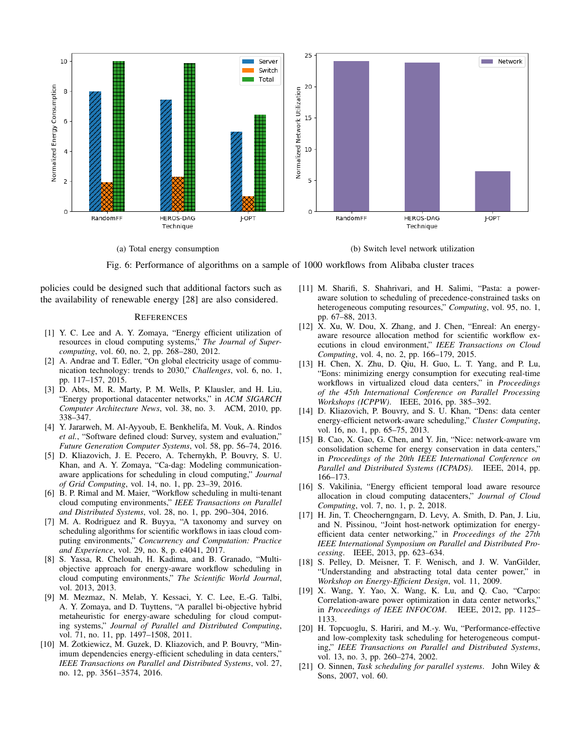

(a) Total energy consumption (b) Switch level network utilization

Fig. 6: Performance of algorithms on a sample of 1000 workflows from Alibaba cluster traces

policies could be designed such that additional factors such as the availability of renewable energy [28] are also considered.

#### **REFERENCES**

- [1] Y. C. Lee and A. Y. Zomaya, "Energy efficient utilization of resources in cloud computing systems," *The Journal of Supercomputing*, vol. 60, no. 2, pp. 268–280, 2012.
- [2] A. Andrae and T. Edler, "On global electricity usage of communication technology: trends to 2030," *Challenges*, vol. 6, no. 1, pp. 117–157, 2015.
- [3] D. Abts, M. R. Marty, P. M. Wells, P. Klausler, and H. Liu, "Energy proportional datacenter networks," in *ACM SIGARCH Computer Architecture News*, vol. 38, no. 3. ACM, 2010, pp. 338–347.
- [4] Y. Jararweh, M. Al-Ayyoub, E. Benkhelifa, M. Vouk, A. Rindos *et al.*, "Software defined cloud: Survey, system and evaluation," *Future Generation Computer Systems*, vol. 58, pp. 56–74, 2016.
- [5] D. Kliazovich, J. E. Pecero, A. Tchernykh, P. Bouvry, S. U. Khan, and A. Y. Zomaya, "Ca-dag: Modeling communicationaware applications for scheduling in cloud computing," *Journal of Grid Computing*, vol. 14, no. 1, pp. 23–39, 2016.
- [6] B. P. Rimal and M. Maier, "Workflow scheduling in multi-tenant cloud computing environments," *IEEE Transactions on Parallel and Distributed Systems*, vol. 28, no. 1, pp. 290–304, 2016.
- [7] M. A. Rodriguez and R. Buyya, "A taxonomy and survey on scheduling algorithms for scientific workflows in iaas cloud computing environments," *Concurrency and Computation: Practice and Experience*, vol. 29, no. 8, p. e4041, 2017.
- [8] S. Yassa, R. Chelouah, H. Kadima, and B. Granado, "Multiobjective approach for energy-aware workflow scheduling in cloud computing environments," *The Scientific World Journal*, vol. 2013, 2013.
- [9] M. Mezmaz, N. Melab, Y. Kessaci, Y. C. Lee, E.-G. Talbi, A. Y. Zomaya, and D. Tuyttens, "A parallel bi-objective hybrid metaheuristic for energy-aware scheduling for cloud computing systems," *Journal of Parallel and Distributed Computing*, vol. 71, no. 11, pp. 1497–1508, 2011.
- [10] M. Żotkiewicz, M. Guzek, D. Kliazovich, and P. Bouvry, "Minimum dependencies energy-efficient scheduling in data centers," *IEEE Transactions on Parallel and Distributed Systems*, vol. 27, no. 12, pp. 3561–3574, 2016.
- [11] M. Sharifi, S. Shahrivari, and H. Salimi, "Pasta: a poweraware solution to scheduling of precedence-constrained tasks on heterogeneous computing resources," *Computing*, vol. 95, no. 1, pp. 67–88, 2013.
- [12] X. Xu, W. Dou, X. Zhang, and J. Chen, "Enreal: An energyaware resource allocation method for scientific workflow executions in cloud environment," *IEEE Transactions on Cloud Computing*, vol. 4, no. 2, pp. 166–179, 2015.
- [13] H. Chen, X. Zhu, D. Qiu, H. Guo, L. T. Yang, and P. Lu, "Eons: minimizing energy consumption for executing real-time workflows in virtualized cloud data centers," in *Proceedings of the 45th International Conference on Parallel Processing Workshops (ICPPW)*. IEEE, 2016, pp. 385–392.
- [14] D. Kliazovich, P. Bouvry, and S. U. Khan, "Dens: data center energy-efficient network-aware scheduling," *Cluster Computing*, vol. 16, no. 1, pp. 65–75, 2013.
- [15] B. Cao, X. Gao, G. Chen, and Y. Jin, "Nice: network-aware vm consolidation scheme for energy conservation in data centers," in *Proceedings of the 20th IEEE International Conference on Parallel and Distributed Systems (ICPADS)*. IEEE, 2014, pp. 166–173.
- [16] S. Vakilinia, "Energy efficient temporal load aware resource allocation in cloud computing datacenters," *Journal of Cloud Computing*, vol. 7, no. 1, p. 2, 2018.
- [17] H. Jin, T. Cheocherngngarn, D. Levy, A. Smith, D. Pan, J. Liu, and N. Pissinou, "Joint host-network optimization for energyefficient data center networking," in *Proceedings of the 27th IEEE International Symposium on Parallel and Distributed Processing*. IEEE, 2013, pp. 623–634.
- [18] S. Pelley, D. Meisner, T. F. Wenisch, and J. W. VanGilder, "Understanding and abstracting total data center power," in *Workshop on Energy-Efficient Design*, vol. 11, 2009.
- [19] X. Wang, Y. Yao, X. Wang, K. Lu, and Q. Cao, "Carpo: Correlation-aware power optimization in data center networks," in *Proceedings of IEEE INFOCOM*. IEEE, 2012, pp. 1125– 1133.
- [20] H. Topcuoglu, S. Hariri, and M.-y. Wu, "Performance-effective and low-complexity task scheduling for heterogeneous computing," *IEEE Transactions on Parallel and Distributed Systems*, vol. 13, no. 3, pp. 260–274, 2002.
- [21] O. Sinnen, *Task scheduling for parallel systems*. John Wiley & Sons, 2007, vol. 60.